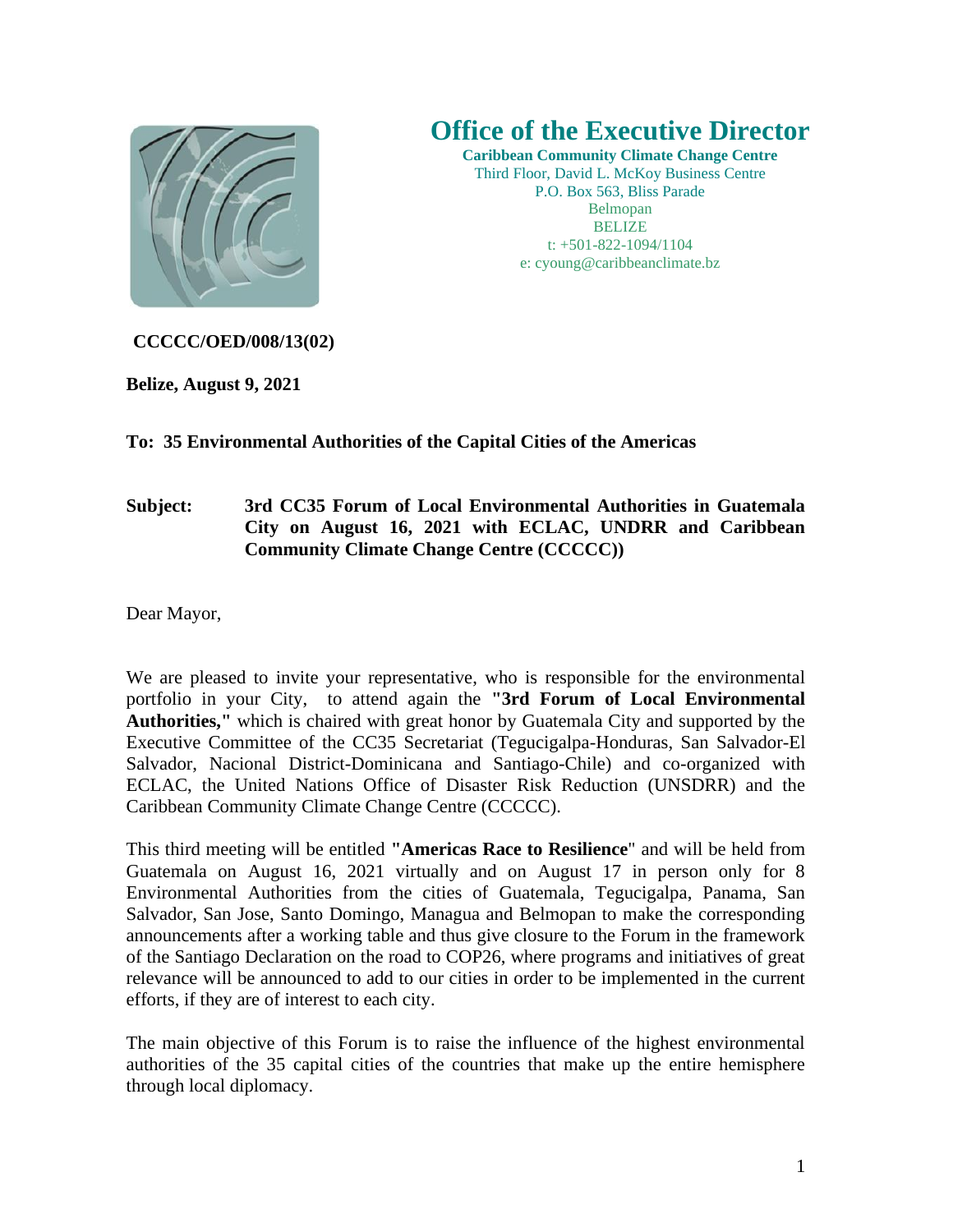

## **Office of the Executive Director**

**Caribbean Community Climate Change Centre** Third Floor, David L. McKoy Business Centre P.O. Box 563, Bliss Parade Belmopan **BELIZE** t: +501-822-1094/1104 e: cyoung@caribbeanclimate.bz

## **CCCCC/OED/008/13(02)**

**Belize, August 9, 2021**

## **To: 35 Environmental Authorities of the Capital Cities of the Americas**

## **Subject: 3rd CC35 Forum of Local Environmental Authorities in Guatemala City on August 16, 2021 with ECLAC, UNDRR and Caribbean Community Climate Change Centre (CCCCC))**

Dear Mayor,

We are pleased to invite your representative, who is responsible for the environmental portfolio in your City, to attend again the **"3rd Forum of Local Environmental Authorities,"** which is chaired with great honor by Guatemala City and supported by the Executive Committee of the CC35 Secretariat (Tegucigalpa-Honduras, San Salvador-El Salvador, Nacional District-Dominicana and Santiago-Chile) and co-organized with ECLAC, the United Nations Office of Disaster Risk Reduction (UNSDRR) and the Caribbean Community Climate Change Centre (CCCCC).

This third meeting will be entitled **"Americas Race to Resilience**" and will be held from Guatemala on August 16, 2021 virtually and on August 17 in person only for 8 Environmental Authorities from the cities of Guatemala, Tegucigalpa, Panama, San Salvador, San Jose, Santo Domingo, Managua and Belmopan to make the corresponding announcements after a working table and thus give closure to the Forum in the framework of the Santiago Declaration on the road to COP26, where programs and initiatives of great relevance will be announced to add to our cities in order to be implemented in the current efforts, if they are of interest to each city.

The main objective of this Forum is to raise the influence of the highest environmental authorities of the 35 capital cities of the countries that make up the entire hemisphere through local diplomacy.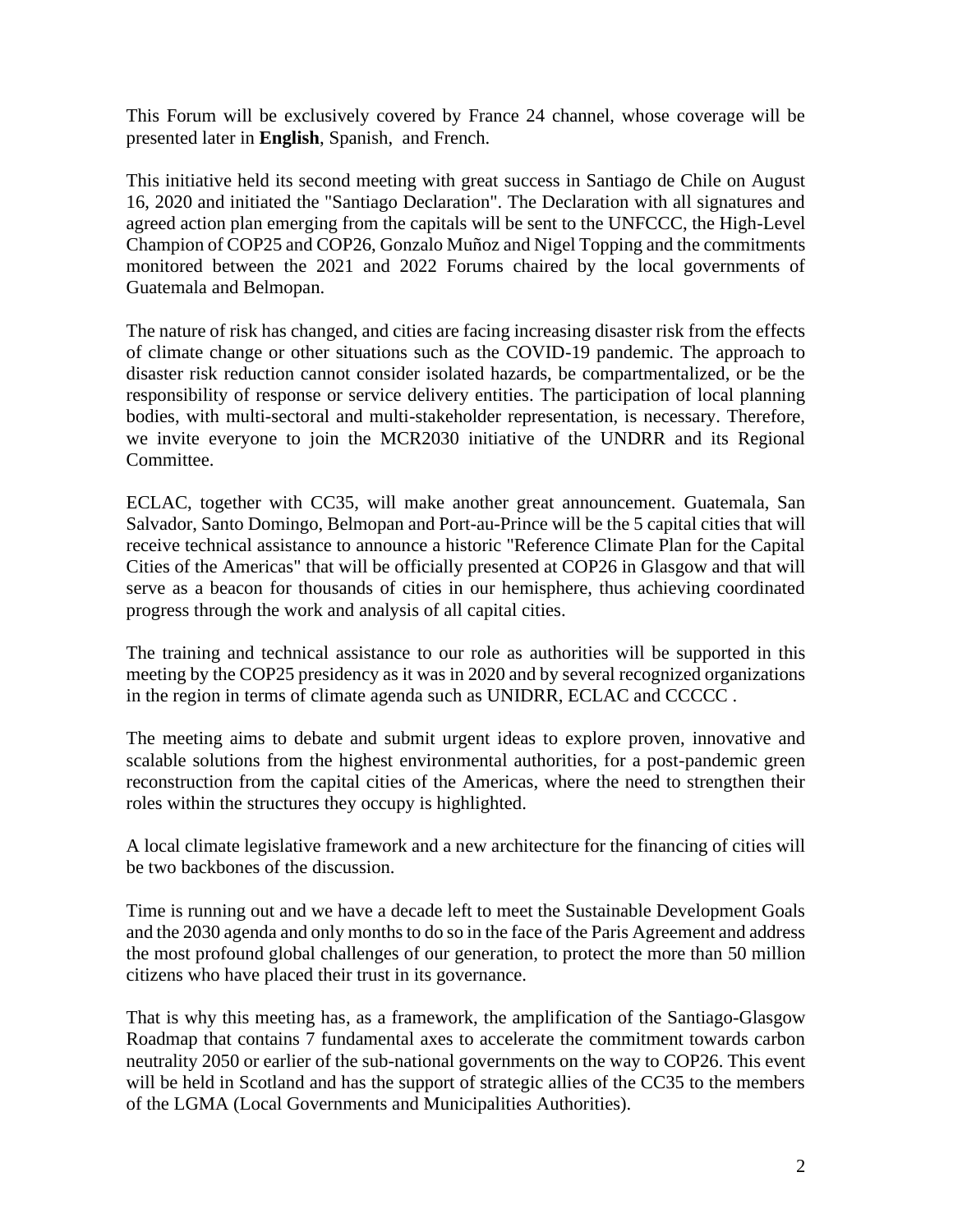This Forum will be exclusively covered by France 24 channel, whose coverage will be presented later in **English**, Spanish, and French.

This initiative held its second meeting with great success in Santiago de Chile on August 16, 2020 and initiated the "Santiago Declaration". The Declaration with all signatures and agreed action plan emerging from the capitals will be sent to the UNFCCC, the High-Level Champion of COP25 and COP26, Gonzalo Muñoz and Nigel Topping and the commitments monitored between the 2021 and 2022 Forums chaired by the local governments of Guatemala and Belmopan.

The nature of risk has changed, and cities are facing increasing disaster risk from the effects of climate change or other situations such as the COVID-19 pandemic. The approach to disaster risk reduction cannot consider isolated hazards, be compartmentalized, or be the responsibility of response or service delivery entities. The participation of local planning bodies, with multi-sectoral and multi-stakeholder representation, is necessary. Therefore, we invite everyone to join the MCR2030 initiative of the UNDRR and its Regional Committee.

ECLAC, together with CC35, will make another great announcement. Guatemala, San Salvador, Santo Domingo, Belmopan and Port-au-Prince will be the 5 capital cities that will receive technical assistance to announce a historic "Reference Climate Plan for the Capital Cities of the Americas" that will be officially presented at COP26 in Glasgow and that will serve as a beacon for thousands of cities in our hemisphere, thus achieving coordinated progress through the work and analysis of all capital cities.

The training and technical assistance to our role as authorities will be supported in this meeting by the COP25 presidency as it was in 2020 and by several recognized organizations in the region in terms of climate agenda such as UNIDRR, ECLAC and CCCCC .

The meeting aims to debate and submit urgent ideas to explore proven, innovative and scalable solutions from the highest environmental authorities, for a post-pandemic green reconstruction from the capital cities of the Americas, where the need to strengthen their roles within the structures they occupy is highlighted.

A local climate legislative framework and a new architecture for the financing of cities will be two backbones of the discussion.

Time is running out and we have a decade left to meet the Sustainable Development Goals and the 2030 agenda and only months to do so in the face of the Paris Agreement and address the most profound global challenges of our generation, to protect the more than 50 million citizens who have placed their trust in its governance.

That is why this meeting has, as a framework, the amplification of the Santiago-Glasgow Roadmap that contains 7 fundamental axes to accelerate the commitment towards carbon neutrality 2050 or earlier of the sub-national governments on the way to COP26. This event will be held in Scotland and has the support of strategic allies of the CC35 to the members of the LGMA (Local Governments and Municipalities Authorities).